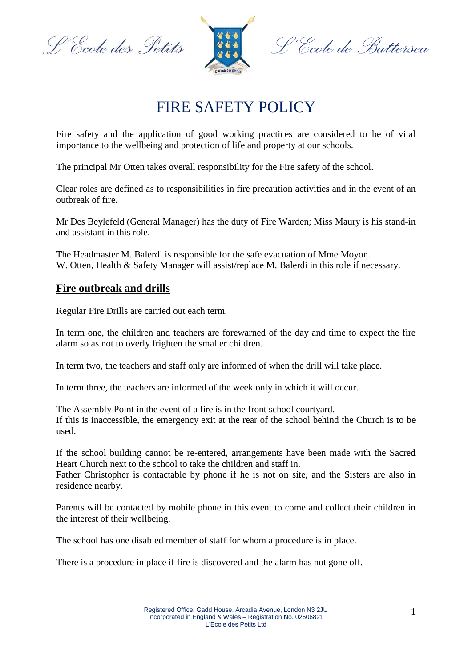L'Ecole des Petits



L'École de Battersea

# FIRE SAFETY POLICY

Fire safety and the application of good working practices are considered to be of vital importance to the wellbeing and protection of life and property at our schools.

The principal Mr Otten takes overall responsibility for the Fire safety of the school.

Clear roles are defined as to responsibilities in fire precaution activities and in the event of an outbreak of fire.

Mr Des Beylefeld (General Manager) has the duty of Fire Warden; Miss Maury is his stand-in and assistant in this role.

The Headmaster M. Balerdi is responsible for the safe evacuation of Mme Moyon. W. Otten, Health & Safety Manager will assist/replace M. Balerdi in this role if necessary.

## **Fire outbreak and drills**

Regular Fire Drills are carried out each term.

In term one, the children and teachers are forewarned of the day and time to expect the fire alarm so as not to overly frighten the smaller children.

In term two, the teachers and staff only are informed of when the drill will take place.

In term three, the teachers are informed of the week only in which it will occur.

The Assembly Point in the event of a fire is in the front school courtyard. If this is inaccessible, the emergency exit at the rear of the school behind the Church is to be used.

If the school building cannot be re-entered, arrangements have been made with the Sacred Heart Church next to the school to take the children and staff in.

Father Christopher is contactable by phone if he is not on site, and the Sisters are also in residence nearby.

Parents will be contacted by mobile phone in this event to come and collect their children in the interest of their wellbeing.

The school has one disabled member of staff for whom a procedure is in place.

There is a procedure in place if fire is discovered and the alarm has not gone off.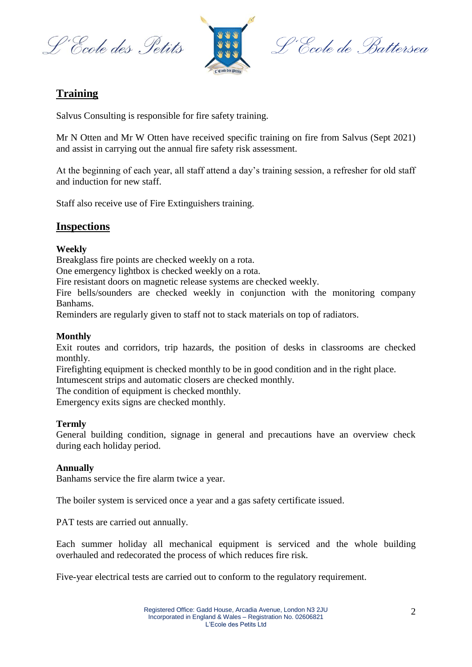L'Ecole des Petits



L'École de Battersea

## **Training**

Salvus Consulting is responsible for fire safety training.

Mr N Otten and Mr W Otten have received specific training on fire from Salvus (Sept 2021) and assist in carrying out the annual fire safety risk assessment.

At the beginning of each year, all staff attend a day's training session, a refresher for old staff and induction for new staff.

Staff also receive use of Fire Extinguishers training.

## **Inspections**

#### **Weekly**

Breakglass fire points are checked weekly on a rota.

One emergency lightbox is checked weekly on a rota.

Fire resistant doors on magnetic release systems are checked weekly.

Fire bells/sounders are checked weekly in conjunction with the monitoring company Banhams.

Reminders are regularly given to staff not to stack materials on top of radiators.

#### **Monthly**

Exit routes and corridors, trip hazards, the position of desks in classrooms are checked monthly.

Firefighting equipment is checked monthly to be in good condition and in the right place. Intumescent strips and automatic closers are checked monthly.

The condition of equipment is checked monthly.

Emergency exits signs are checked monthly.

#### **Termly**

General building condition, signage in general and precautions have an overview check during each holiday period.

#### **Annually**

Banhams service the fire alarm twice a year.

The boiler system is serviced once a year and a gas safety certificate issued.

PAT tests are carried out annually.

Each summer holiday all mechanical equipment is serviced and the whole building overhauled and redecorated the process of which reduces fire risk.

Five-year electrical tests are carried out to conform to the regulatory requirement.